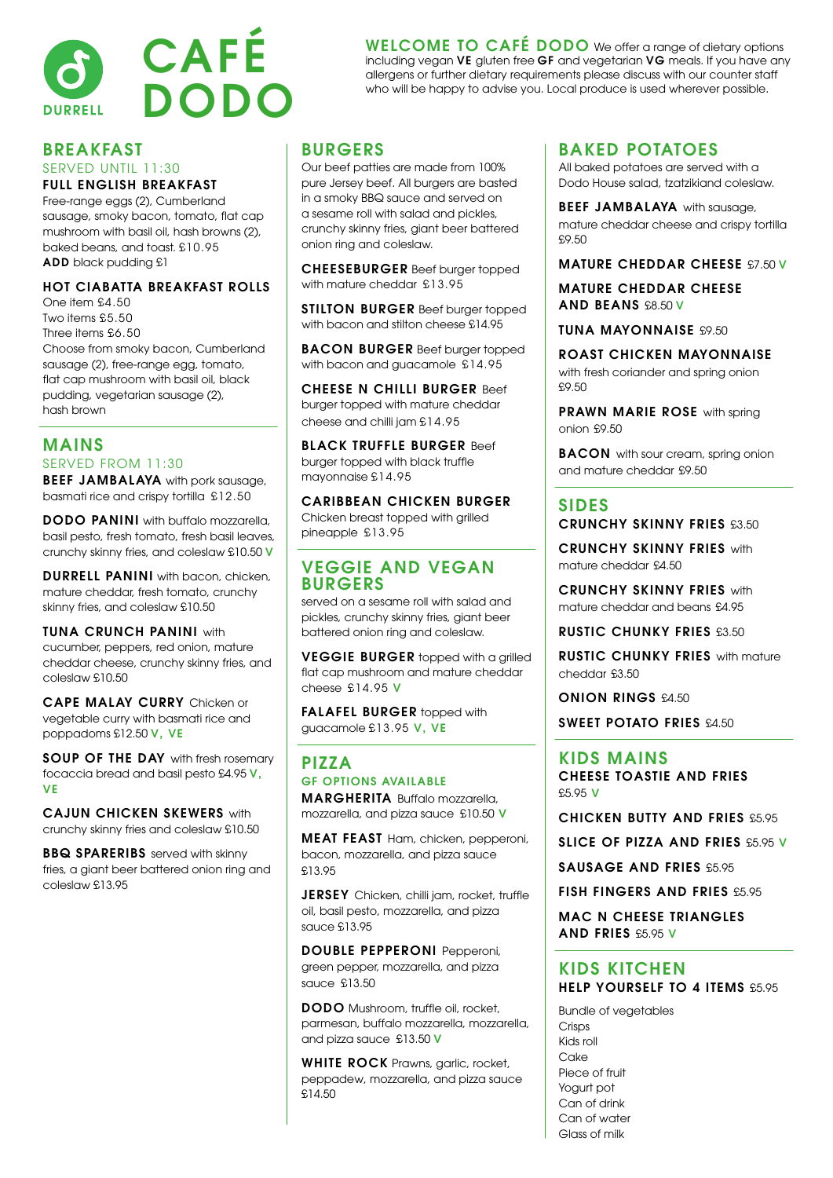

### BREAKFAST

#### SERVED UNTIL 11:30 FULL ENGLISH BREAKFAST

Free-range eggs (2), Cumberland sausage, smoky bacon, tomato, flat cap mushroom with basil oil, hash browns (2), baked beans, and toast. £10.95 ADD black pudding £1

#### HOT CIABATTA BREAKFAST ROLLS

One item £4.50 Two items £5.50 Three items £6.50 Choose from smoky bacon, Cumberland sausage (2), free-range egg, tomato, flat cap mushroom with basil oil, black pudding, vegetarian sausage (2), hash brown

#### MAINS SERVED FROM 11:30

**BEEF JAMBALAYA** with pork sausage, basmati rice and crispy tortilla £12.50

DODO PANINI with buffalo mozzarella, basil pesto, fresh tomato, fresh basil leaves, crunchy skinny fries, and coleslaw £10.50 V

DURRELL PANINI with bacon, chicken, mature cheddar, fresh tomato, crunchy skinny fries, and coleslaw £10.50

TUNA CRUNCH PANINI with cucumber, peppers, red onion, mature cheddar cheese, crunchy skinny fries, and coleslaw £10.50

CAPE MALAY CURRY Chicken or vegetable curry with basmati rice and poppadoms £12.50 V, VE

SOUP OF THE DAY with fresh rosemary focaccia bread and basil pesto £4.95 V, VE

CAJUN CHICKEN SKEWERS with crunchy skinny fries and coleslaw £10.50

BBQ SPARERIBS served with skinny fries, a giant beer battered onion ring and coleslaw £13.95

#### **BURGERS**

Our beef patties are made from 100% pure Jersey beef. All burgers are basted in a smoky BBQ sauce and served on a sesame roll with salad and pickles, crunchy skinny fries, giant beer battered onion ring and coleslaw.

CHEESEBURGER Beef burger topped with mature cheddar £13.95

STILTON BURGER Beef burger topped with bacon and stilton cheese £14.95

BACON BURGER Beef burger topped with bacon and guacamole £14.95

CHEESE N CHILLI BURGER Beef burger topped with mature cheddar cheese and chilli jam £14.95

**BLACK TRUFFLE BURGER Beef** burger topped with black truffle mayonnaise £14.95

CARIBBEAN CHICKEN BURGER Chicken breast topped with grilled pineapple £13.95

#### VEGGIE AND VEGAN BURGERS

served on a sesame roll with salad and pickles, crunchy skinny fries, giant beer battered onion ring and coleslaw.

VEGGIE BURGER topped with a grilled flat cap mushroom and mature cheddar cheese £14.95 V

FALAFEL BURGER topped with guacamole £13.95 V, VE

#### PIZZA GF OPTIONS AVAILABLE MARGHERITA Buffalo mozzarella,

mozzarella, and pizza sauce £10.50 V

MEAT FEAST Ham, chicken, pepperoni, bacon, mozzarella, and pizza sauce £13.95

JERSEY Chicken, chilli jam, rocket, truffle oil, basil pesto, mozzarella, and pizza sauce £13.95

DOUBLE PEPPERONI Pepperoni, green pepper, mozzarella, and pizza sauce £13.50

DODO Mushroom, truffle oil, rocket, parmesan, buffalo mozzarella, mozzarella, and pizza sauce £13.50 V

WHITE ROCK Prawns, garlic, rocket, peppadew, mozzarella, and pizza sauce £14.50

## BAKED POTATOES

WELCOME TO CAFÉ DODO We offer a range of dietary options including vegan VE gluten free GF and vegetarian VG meals. If you have any allergens or further dietary requirements please discuss with our counter staff who will be happy to advise you. Local produce is used wherever possible.

> All baked potatoes are served with a Dodo House salad, tzatzikiand coleslaw.

**BEEF JAMBALAYA** with sausage, mature cheddar cheese and crispy tortilla £9.50

MATURE CHEDDAR CHEESE £7.50 V

MATURE CHEDDAR CHEESE AND BEANS £8.50 V

TUNA MAYONNAISE £9.50

ROAST CHICKEN MAYONNAISE with fresh coriander and spring onion £9.50

PRAWN MARIE ROSE with spring onion £9.50

**BACON** with sour cream, spring onion and mature cheddar £9.50

#### SIDES

CRUNCHY SKINNY FRIES £3.50

CRUNCHY SKINNY FRIES with mature cheddar £4.50

CRUNCHY SKINNY FRIES with mature cheddar and beans £4.95

RUSTIC CHUNKY FRIES £3.50

RUSTIC CHUNKY FRIES with mature cheddar £3.50

ONION RINGS £4.50

SWEET POTATO FRIES £4.50

KIDS MAINS CHEESE TOASTIE AND FRIES £5.95 V

CHICKEN BUTTY AND FRIES £5.95

SLICE OF PIZZA AND FRIES £5.95 V

SAUSAGE AND FRIES £5.95

FISH FINGERS AND FRIES £5.95

MAC N CHEESE TRIANGLES AND FRIES £5.95 V

#### KIDS KITCHEN HELP YOURSELF TO 4 ITEMS £5.95

Bundle of vegetables Crisps Kids roll Cake Piece of fruit Yogurt pot Can of drink Can of water Glass of milk